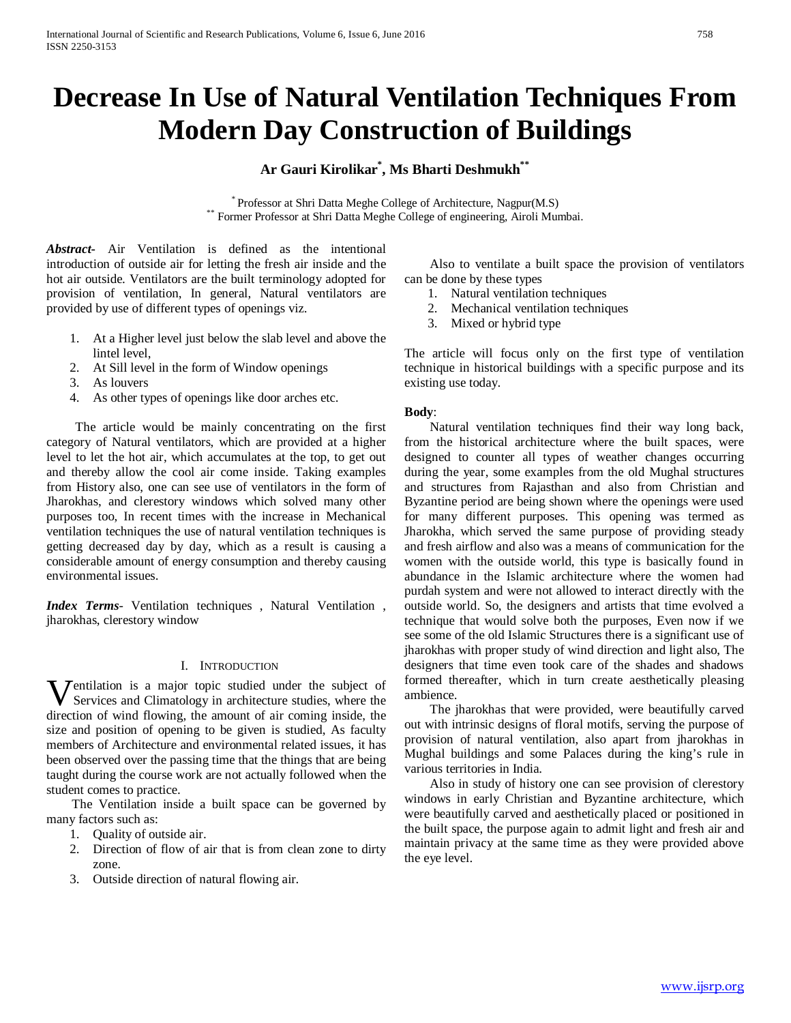# **Decrease In Use of Natural Ventilation Techniques From Modern Day Construction of Buildings**

## **Ar Gauri Kirolikar\* , Ms Bharti Deshmukh\*\***

 $^\ast$  Professor at Shri Datta Meghe College of Architecture, Nagpur(M.S) $^\ast$  Former Professor at Shri Datta Meghe College of engineering, Airoli Mumbai.

*Abstract***-** Air Ventilation is defined as the intentional introduction of outside air for letting the fresh air inside and the hot air outside. Ventilators are the built terminology adopted for provision of ventilation, In general, Natural ventilators are provided by use of different types of openings viz.

- 1. At a Higher level just below the slab level and above the lintel level,
- 2. At Sill level in the form of Window openings
- 3. As louvers
- 4. As other types of openings like door arches etc.

 The article would be mainly concentrating on the first category of Natural ventilators, which are provided at a higher level to let the hot air, which accumulates at the top, to get out and thereby allow the cool air come inside. Taking examples from History also, one can see use of ventilators in the form of Jharokhas, and clerestory windows which solved many other purposes too, In recent times with the increase in Mechanical ventilation techniques the use of natural ventilation techniques is getting decreased day by day, which as a result is causing a considerable amount of energy consumption and thereby causing environmental issues.

*Index Terms*- Ventilation techniques , Natural Ventilation , jharokhas, clerestory window

#### I. INTRODUCTION

**V**entilation is a major topic studied under the subject of Services and Climatology in architecture studies, where the direction of mind flaming the magnetic of site service inside the Services and Climatology in architecture studies, where the direction of wind flowing, the amount of air coming inside, the size and position of opening to be given is studied, As faculty members of Architecture and environmental related issues, it has been observed over the passing time that the things that are being taught during the course work are not actually followed when the student comes to practice.

 The Ventilation inside a built space can be governed by many factors such as:

- 1. Quality of outside air.
- 2. Direction of flow of air that is from clean zone to dirty zone.
- 3. Outside direction of natural flowing air.

 Also to ventilate a built space the provision of ventilators can be done by these types

- 1. Natural ventilation techniques
- 2. Mechanical ventilation techniques
- 3. Mixed or hybrid type

The article will focus only on the first type of ventilation technique in historical buildings with a specific purpose and its existing use today.

#### **Body**:

 Natural ventilation techniques find their way long back, from the historical architecture where the built spaces, were designed to counter all types of weather changes occurring during the year, some examples from the old Mughal structures and structures from Rajasthan and also from Christian and Byzantine period are being shown where the openings were used for many different purposes. This opening was termed as Jharokha, which served the same purpose of providing steady and fresh airflow and also was a means of communication for the women with the outside world, this type is basically found in abundance in the Islamic architecture where the women had purdah system and were not allowed to interact directly with the outside world. So, the designers and artists that time evolved a technique that would solve both the purposes, Even now if we see some of the old Islamic Structures there is a significant use of jharokhas with proper study of wind direction and light also, The designers that time even took care of the shades and shadows formed thereafter, which in turn create aesthetically pleasing ambience.

 The jharokhas that were provided, were beautifully carved out with intrinsic designs of floral motifs, serving the purpose of provision of natural ventilation, also apart from jharokhas in Mughal buildings and some Palaces during the king's rule in various territories in India.

 Also in study of history one can see provision of clerestory windows in early Christian and Byzantine architecture, which were beautifully carved and aesthetically placed or positioned in the built space, the purpose again to admit light and fresh air and maintain privacy at the same time as they were provided above the eye level.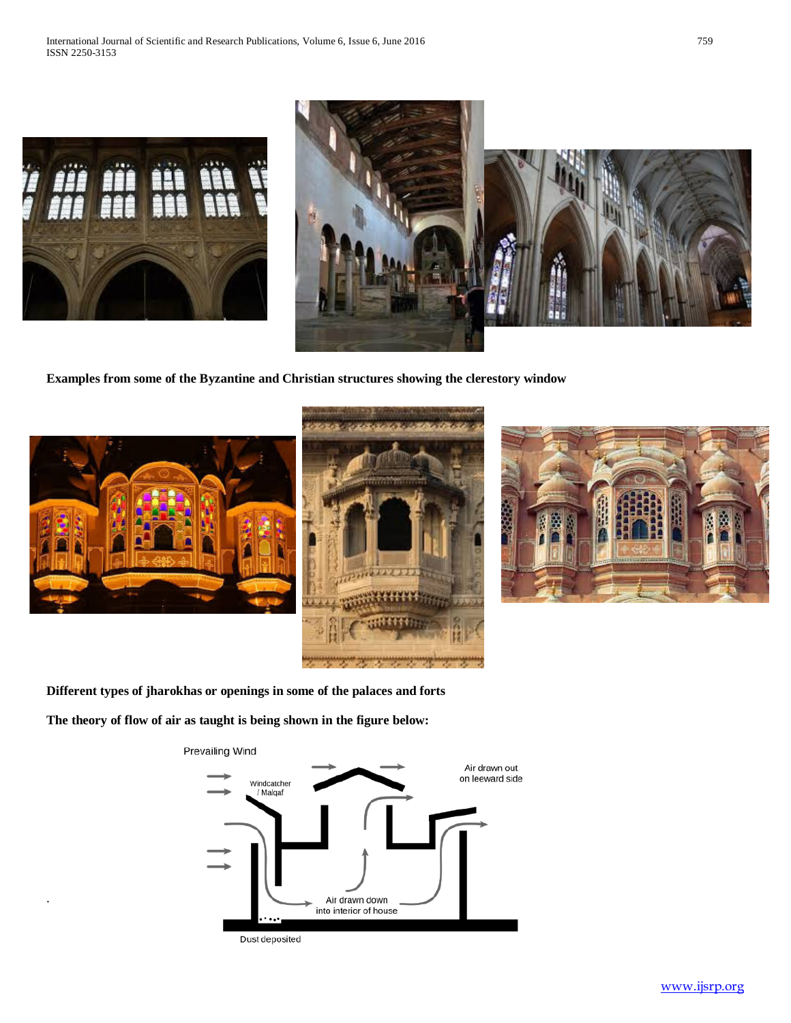



**Examples from some of the Byzantine and Christian structures showing the clerestory window**



.





**Different types of jharokhas or openings in some of the palaces and forts**

**The theory of flow of air as taught is being shown in the figure below:**